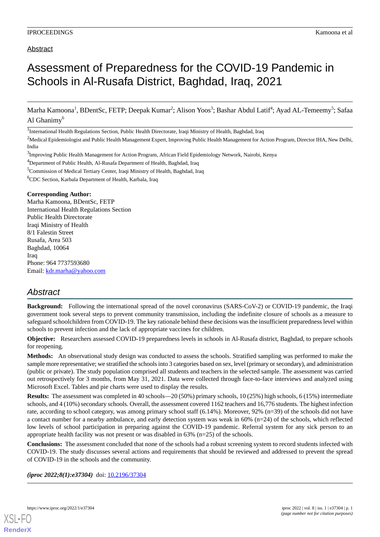## Abstract

# Assessment of Preparedness for the COVID-19 Pandemic in Schools in Al-Rusafa District, Baghdad, Iraq, 2021

Marha Kamoona<sup>1</sup>, BDentSc, FETP; Deepak Kumar<sup>2</sup>; Alison Yoos<sup>3</sup>; Bashar Abdul Latif<sup>4</sup>; Ayad AL-Temeemy<sup>5</sup>; Safaa Al Ghanimy $<sup>6</sup>$ </sup>

<sup>1</sup>International Health Regulations Section, Public Health Directorate, Iraqi Ministry of Health, Baghdad, Iraq

<sup>2</sup>Medical Epidemiologist and Public Health Management Expert, Improving Public Health Management for Action Program, Director IHA, New Delhi, India

<sup>3</sup>Improving Public Health Management for Action Program, African Field Epidemiology Network, Nairobi, Kenya

<sup>4</sup>Department of Public Health, Al-Rusafa Department of Health, Baghdad, Iraq

<sup>5</sup>Commission of Medical Tertiary Center, Iraqi Ministry of Health, Baghdad, Iraq

 ${}^{6}$ CDC Section, Karbala Department of Health, Karbala, Iraq

#### **Corresponding Author:**

Marha Kamoona, BDentSc, FETP International Health Regulations Section Public Health Directorate Iraqi Ministry of Health 8/1 Falestin Street Rusafa, Area 503 Baghdad, 10064 Iraq Phone: 964 7737593680 Email: [kdr.marha@yahoo.com](mailto:kdr.marha@yahoo.com)

# *Abstract*

**Background:** Following the international spread of the novel coronavirus (SARS-CoV-2) or COVID-19 pandemic, the Iraqi government took several steps to prevent community transmission, including the indefinite closure of schools as a measure to safeguard schoolchildren from COVID-19. The key rationale behind these decisions was the insufficient preparedness level within schools to prevent infection and the lack of appropriate vaccines for children.

**Objective:** Researchers assessed COVID-19 preparedness levels in schools in Al-Rusafa district, Baghdad, to prepare schools for reopening.

**Methods:** An observational study design was conducted to assess the schools. Stratified sampling was performed to make the sample more representative; we stratified the schools into 3 categories based on sex, level (primary or secondary), and administration (public or private). The study population comprised all students and teachers in the selected sample. The assessment was carried out retrospectively for 3 months, from May 31, 2021. Data were collected through face-to-face interviews and analyzed using Microsoft Excel. Tables and pie charts were used to display the results.

**Results:** The assessment was completed in 40 schools—20 (50%) primary schools, 10 (25%) high schools, 6 (15%) intermediate schools, and 4 (10%) secondary schools. Overall, the assessment covered 1162 teachers and 16,776 students. The highest infection rate, according to school category, was among primary school staff (6.14%). Moreover, 92% (n=39) of the schools did not have a contact number for a nearby ambulance, and early detection system was weak in 60% (n=24) of the schools, which reflected low levels of school participation in preparing against the COVID-19 pandemic. Referral system for any sick person to an appropriate health facility was not present or was disabled in  $63\%$  (n=25) of the schools.

**Conclusions:** The assessment concluded that none of the schools had a robust screening system to record students infected with COVID-19. The study discusses several actions and requirements that should be reviewed and addressed to prevent the spread of COVID-19 in the schools and the community.

*(iproc 2022;8(1):e37304)* doi: [10.2196/37304](http://dx.doi.org/10.2196/37304)